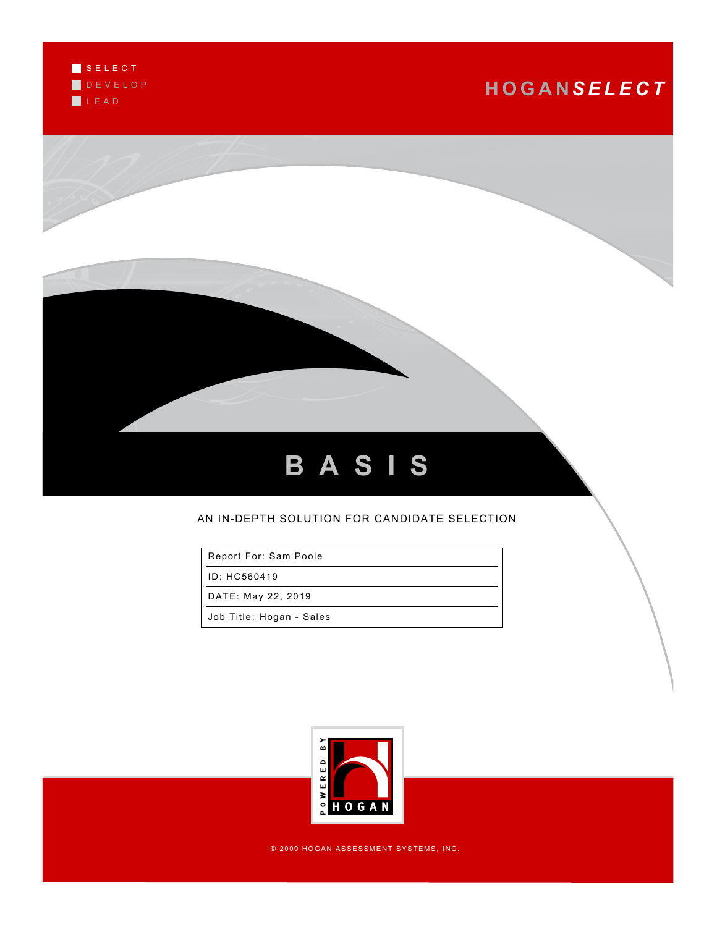

# **H O G A N***S E L E C T*



### AN IN-DEPTH SOLUTION FOR CANDIDATE SELECTION

Report For: Sam Poole

ID: HC560419

DATE: May 22, 2019

Job Title: Hogan - Sales



© 2009 HOGAN ASSESSMENT SYSTEMS, INC.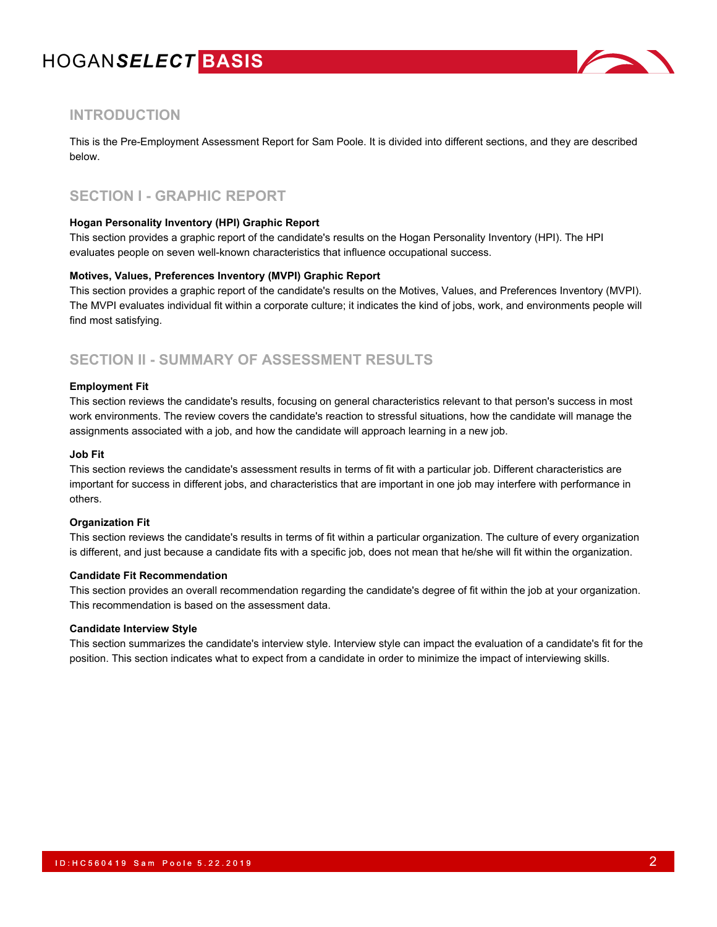

### **INTRODUCTION**

This is the Pre-Employment Assessment Report for Sam Poole. It is divided into different sections, and they are described below.

### **SECTION I - GRAPHIC REPORT**

#### **Hogan Personality Inventory (HPI) Graphic Report**

This section provides a graphic report of the candidate's results on the Hogan Personality Inventory (HPI). The HPI evaluates people on seven well-known characteristics that influence occupational success.

#### **Motives, Values, Preferences Inventory (MVPI) Graphic Report**

This section provides a graphic report of the candidate's results on the Motives, Values, and Preferences Inventory (MVPI). The MVPI evaluates individual fit within a corporate culture; it indicates the kind of jobs, work, and environments people will find most satisfying.

### **SECTION II - SUMMARY OF ASSESSMENT RESULTS**

#### **Employment Fit**

This section reviews the candidate's results, focusing on general characteristics relevant to that person's success in most work environments. The review covers the candidate's reaction to stressful situations, how the candidate will manage the assignments associated with a job, and how the candidate will approach learning in a new job.

#### **Job Fit**

This section reviews the candidate's assessment results in terms of fit with a particular job. Different characteristics are important for success in different jobs, and characteristics that are important in one job may interfere with performance in others.

#### **Organization Fit**

This section reviews the candidate's results in terms of fit within a particular organization. The culture of every organization is different, and just because a candidate fits with a specific job, does not mean that he/she will fit within the organization.

#### **Candidate Fit Recommendation**

This section provides an overall recommendation regarding the candidate's degree of fit within the job at your organization. This recommendation is based on the assessment data.

#### **Candidate Interview Style**

This section summarizes the candidate's interview style. Interview style can impact the evaluation of a candidate's fit for the position. This section indicates what to expect from a candidate in order to minimize the impact of interviewing skills.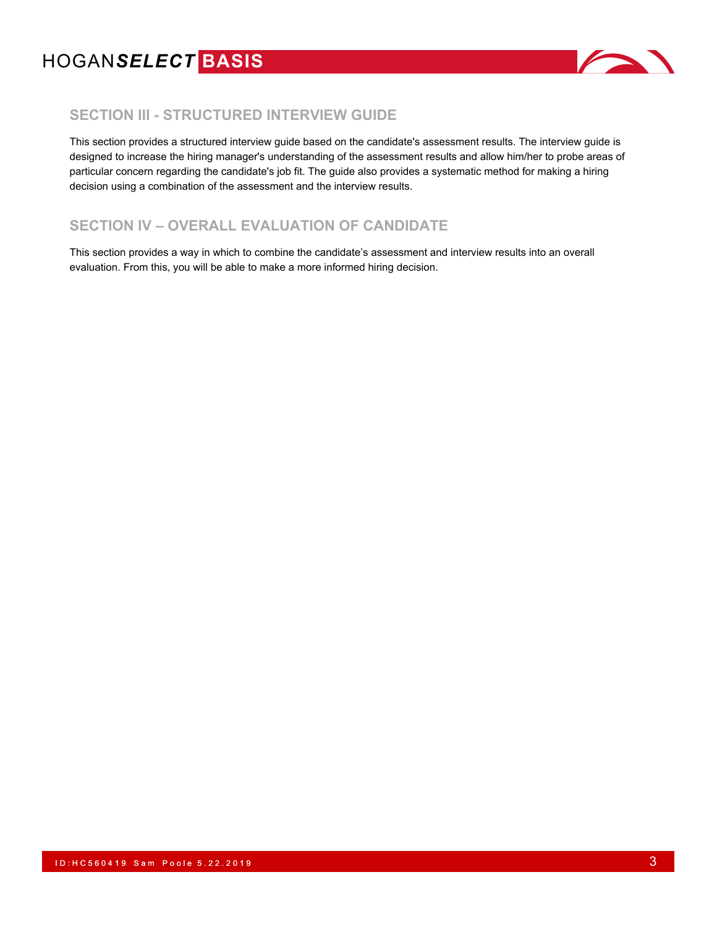

### **SECTION III - STRUCTURED INTERVIEW GUIDE**

This section provides a structured interview guide based on the candidate's assessment results. The interview guide is designed to increase the hiring manager's understanding of the assessment results and allow him/her to probe areas of particular concern regarding the candidate's job fit. The guide also provides a systematic method for making a hiring decision using a combination of the assessment and the interview results.

## **SECTION IV – OVERALL EVALUATION OF CANDIDATE**

This section provides a way in which to combine the candidate's assessment and interview results into an overall evaluation. From this, you will be able to make a more informed hiring decision.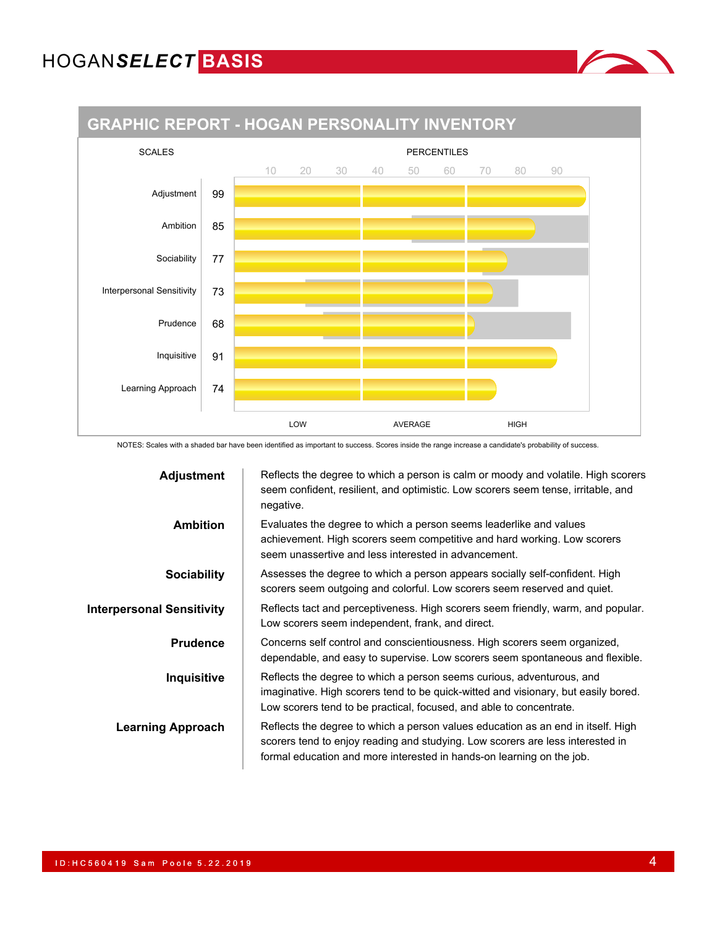Adjustment | 99

Ambition | 85

Sociability 77

Prudence  $68$ 

Inquisitive  $\vert$  91

Learning Approach | 74

Interpersonal Sensitivity | 73





NOTES: Scales with a shaded bar have been identified as important to success. Scores inside the range increase a candidate's probability of success.

LOW AVERAGE HIGH

| <b>Adjustment</b>                | Reflects the degree to which a person is calm or moody and volatile. High scorers<br>seem confident, resilient, and optimistic. Low scorers seem tense, irritable, and<br>negative.                                                         |
|----------------------------------|---------------------------------------------------------------------------------------------------------------------------------------------------------------------------------------------------------------------------------------------|
| <b>Ambition</b>                  | Evaluates the degree to which a person seems leaderlike and values<br>achievement. High scorers seem competitive and hard working. Low scorers<br>seem unassertive and less interested in advancement.                                      |
| <b>Sociability</b>               | Assesses the degree to which a person appears socially self-confident. High<br>scorers seem outgoing and colorful. Low scorers seem reserved and quiet.                                                                                     |
| <b>Interpersonal Sensitivity</b> | Reflects tact and perceptiveness. High scorers seem friendly, warm, and popular.<br>Low scorers seem independent, frank, and direct.                                                                                                        |
| <b>Prudence</b>                  | Concerns self control and conscientiousness. High scorers seem organized,<br>dependable, and easy to supervise. Low scorers seem spontaneous and flexible.                                                                                  |
| Inquisitive                      | Reflects the degree to which a person seems curious, adventurous, and<br>imaginative. High scorers tend to be quick-witted and visionary, but easily bored.<br>Low scorers tend to be practical, focused, and able to concentrate.          |
| <b>Learning Approach</b>         | Reflects the degree to which a person values education as an end in itself. High<br>scorers tend to enjoy reading and studying. Low scorers are less interested in<br>formal education and more interested in hands-on learning on the job. |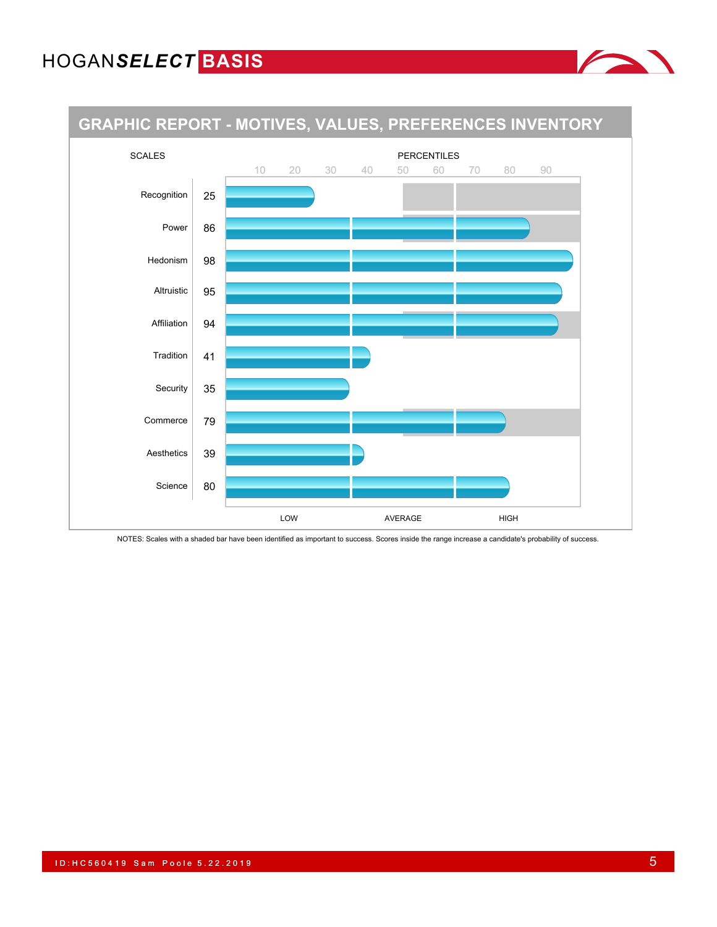

NOTES: Scales with a shaded bar have been identified as important to success. Scores inside the range increase a candidate's probability of success.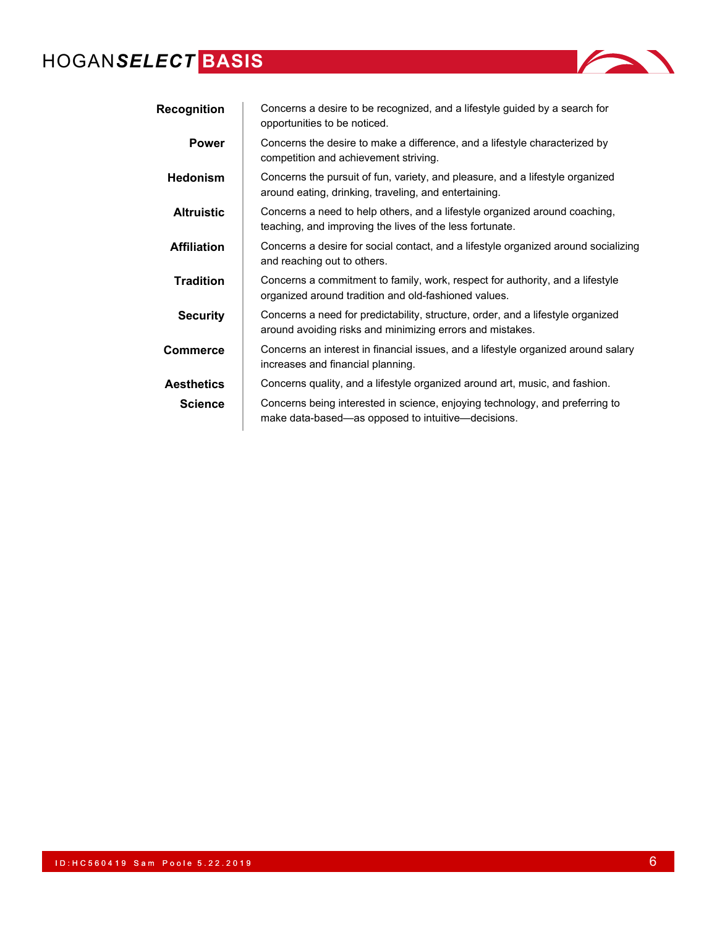| <i>ECI</i> BASIS   |                                                                                                                                        |
|--------------------|----------------------------------------------------------------------------------------------------------------------------------------|
| <b>Recognition</b> | Concerns a desire to be recognized, and a lifestyle guided by a search for<br>opportunities to be noticed.                             |
| <b>Power</b>       | Concerns the desire to make a difference, and a lifestyle characterized by<br>competition and achievement striving.                    |
| <b>Hedonism</b>    | Concerns the pursuit of fun, variety, and pleasure, and a lifestyle organized<br>around eating, drinking, traveling, and entertaining. |
| <b>Altruistic</b>  | Concerns a need to help others, and a lifestyle organized around coaching,<br>teaching, and improving the lives of the less fortunate. |
| <b>Affiliation</b> | Concerns a desire for social contact, and a lifestyle organized around socializing<br>and reaching out to others.                      |
| <b>Tradition</b>   | Concerns a commitment to family, work, respect for authority, and a lifestyle                                                          |

organized around tradition and old-fashioned values.

**Aesthetics** Concerns quality, and a lifestyle organized around art, music, and fashion. **Science** Concerns being interested in science, enjoying technology, and preferring to make data-based—as opposed to intuitive—decisions.

increases and financial planning.

**Security** Concerns a need for predictability, structure, order, and a lifestyle organized around avoiding risks and minimizing errors and mistakes. **Commerce** Concerns an interest in financial issues, and a lifestyle organized around salary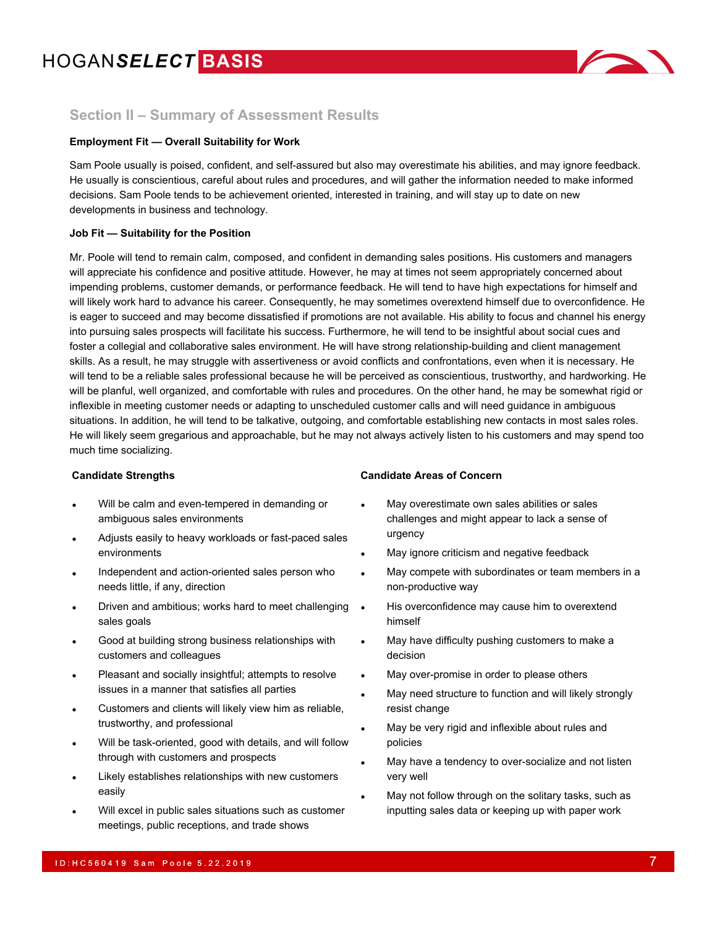

### **Section II – Summary of Assessment Results**

#### **Employment Fit — Overall Suitability for Work**

Sam Poole usually is poised, confident, and self-assured but also may overestimate his abilities, and may ignore feedback. He usually is conscientious, careful about rules and procedures, and will gather the information needed to make informed decisions. Sam Poole tends to be achievement oriented, interested in training, and will stay up to date on new developments in business and technology.

#### **Job Fit — Suitability for the Position**

Mr. Poole will tend to remain calm, composed, and confident in demanding sales positions. His customers and managers will appreciate his confidence and positive attitude. However, he may at times not seem appropriately concerned about impending problems, customer demands, or performance feedback. He will tend to have high expectations for himself and will likely work hard to advance his career. Consequently, he may sometimes overextend himself due to overconfidence. He is eager to succeed and may become dissatisfied if promotions are not available. His ability to focus and channel his energy into pursuing sales prospects will facilitate his success. Furthermore, he will tend to be insightful about social cues and foster a collegial and collaborative sales environment. He will have strong relationship-building and client management skills. As a result, he may struggle with assertiveness or avoid conflicts and confrontations, even when it is necessary. He will tend to be a reliable sales professional because he will be perceived as conscientious, trustworthy, and hardworking. He will be planful, well organized, and comfortable with rules and procedures. On the other hand, he may be somewhat rigid or inflexible in meeting customer needs or adapting to unscheduled customer calls and will need guidance in ambiguous situations. In addition, he will tend to be talkative, outgoing, and comfortable establishing new contacts in most sales roles. He will likely seem gregarious and approachable, but he may not always actively listen to his customers and may spend too much time socializing.

- Will be calm and even-tempered in demanding or ambiguous sales environments
- Adjusts easily to heavy workloads or fast-paced sales environments
- Independent and action-oriented sales person who needs little, if any, direction
- Driven and ambitious; works hard to meet challenging sales goals
- Good at building strong business relationships with customers and colleagues
- Pleasant and socially insightful; attempts to resolve issues in a manner that satisfies all parties
- Customers and clients will likely view him as reliable, trustworthy, and professional
- Will be task-oriented, good with details, and will follow through with customers and prospects
- Likely establishes relationships with new customers easily
- Will excel in public sales situations such as customer meetings, public receptions, and trade shows

#### **Candidate Strengths Candidate Areas of Concern**

- May overestimate own sales abilities or sales challenges and might appear to lack a sense of urgency
- May ignore criticism and negative feedback
- May compete with subordinates or team members in a non-productive way
- His overconfidence may cause him to overextend himself
- May have difficulty pushing customers to make a decision
- May over-promise in order to please others
- May need structure to function and will likely strongly resist change
- May be very rigid and inflexible about rules and policies
- May have a tendency to over-socialize and not listen very well
- May not follow through on the solitary tasks, such as inputting sales data or keeping up with paper work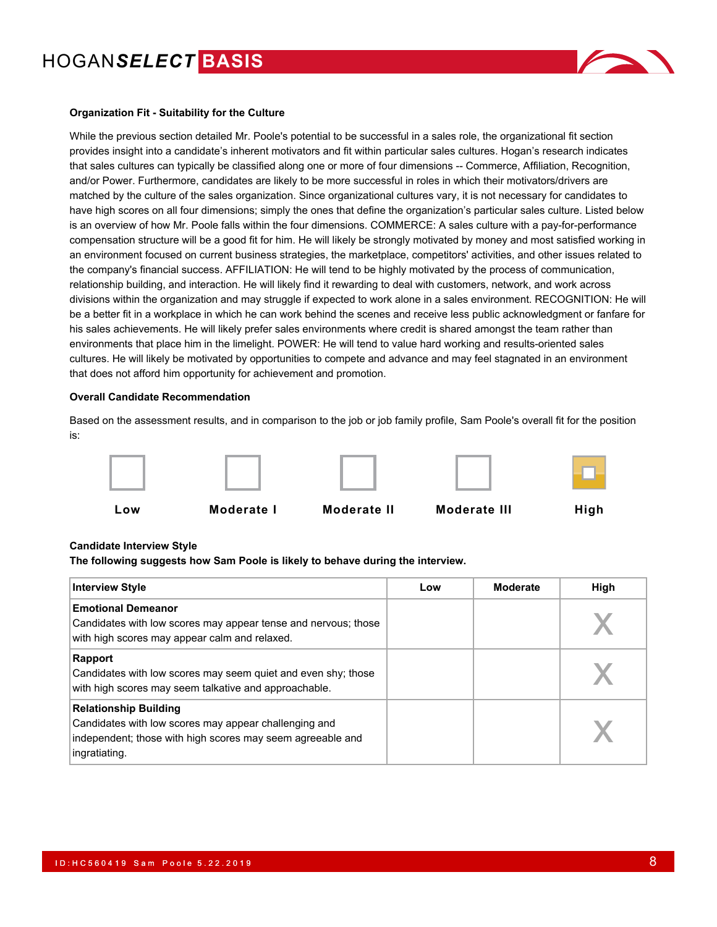

#### **Organization Fit - Suitability for the Culture**

While the previous section detailed Mr. Poole's potential to be successful in a sales role, the organizational fit section provides insight into a candidate's inherent motivators and fit within particular sales cultures. Hogan's research indicates that sales cultures can typically be classified along one or more of four dimensions -- Commerce, Affiliation, Recognition, and/or Power. Furthermore, candidates are likely to be more successful in roles in which their motivators/drivers are matched by the culture of the sales organization. Since organizational cultures vary, it is not necessary for candidates to have high scores on all four dimensions; simply the ones that define the organization's particular sales culture. Listed below is an overview of how Mr. Poole falls within the four dimensions. COMMERCE: A sales culture with a pay-for-performance compensation structure will be a good fit for him. He will likely be strongly motivated by money and most satisfied working in an environment focused on current business strategies, the marketplace, competitors' activities, and other issues related to the company's financial success. AFFILIATION: He will tend to be highly motivated by the process of communication, relationship building, and interaction. He will likely find it rewarding to deal with customers, network, and work across divisions within the organization and may struggle if expected to work alone in a sales environment. RECOGNITION: He will be a better fit in a workplace in which he can work behind the scenes and receive less public acknowledgment or fanfare for his sales achievements. He will likely prefer sales environments where credit is shared amongst the team rather than environments that place him in the limelight. POWER: He will tend to value hard working and results-oriented sales cultures. He will likely be motivated by opportunities to compete and advance and may feel stagnated in an environment that does not afford him opportunity for achievement and promotion.

#### **Overall Candidate Recommendation**

Based on the assessment results, and in comparison to the job or job family profile, Sam Poole's overall fit for the position is:











**Low Moderate I Moderate II Moderate III High**

#### **Candidate Interview Style**

**The following suggests how Sam Poole is likely to behave during the interview.**

| <b>Interview Style</b>                                                                                                                                               | Low | Moderate | High |
|----------------------------------------------------------------------------------------------------------------------------------------------------------------------|-----|----------|------|
| <b>Emotional Demeanor</b><br>Candidates with low scores may appear tense and nervous; those<br>with high scores may appear calm and relaxed.                         |     |          |      |
| Rapport<br>Candidates with low scores may seem quiet and even shy; those<br>with high scores may seem talkative and approachable.                                    |     |          |      |
| <b>Relationship Building</b><br>Candidates with low scores may appear challenging and<br>independent; those with high scores may seem agreeable and<br>ingratiating. |     |          |      |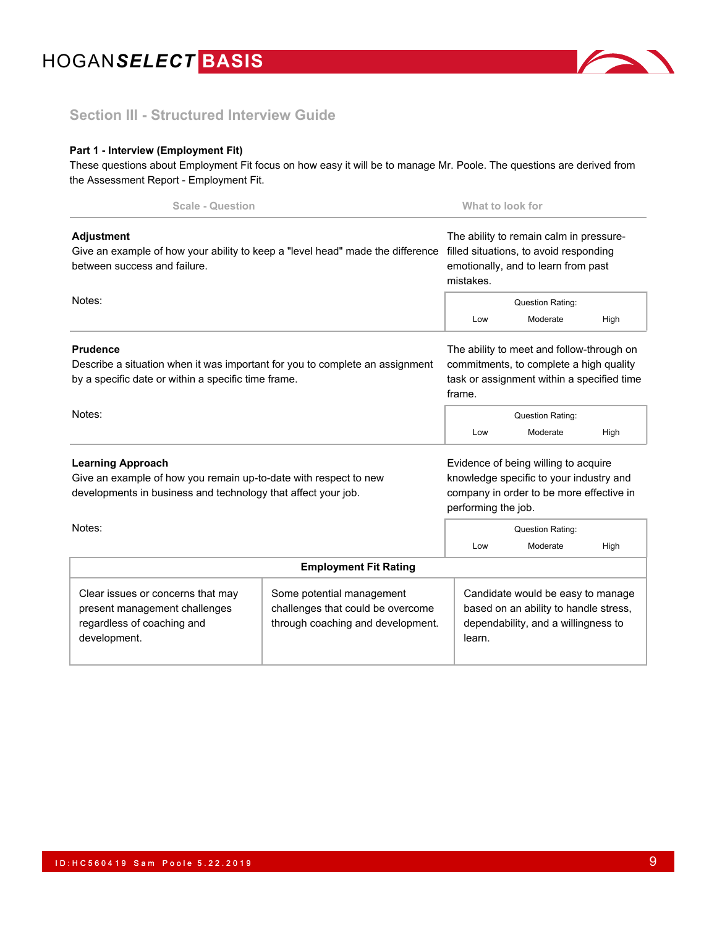

### **Section III - Structured Interview Guide**

### **Part 1 - Interview (Employment Fit)**

These questions about Employment Fit focus on how easy it will be to manage Mr. Poole. The questions are derived from the Assessment Report - Employment Fit.

| <b>Scale - Question</b>                                                                                                                                       |                                                                                                     | What to look for                                                                                                                                   |                                                                                                                                              |      |  |
|---------------------------------------------------------------------------------------------------------------------------------------------------------------|-----------------------------------------------------------------------------------------------------|----------------------------------------------------------------------------------------------------------------------------------------------------|----------------------------------------------------------------------------------------------------------------------------------------------|------|--|
| <b>Adjustment</b><br>Give an example of how your ability to keep a "level head" made the difference<br>between success and failure.                           |                                                                                                     | The ability to remain calm in pressure-<br>filled situations, to avoid responding<br>emotionally, and to learn from past<br>mistakes.              |                                                                                                                                              |      |  |
| Notes:                                                                                                                                                        |                                                                                                     | <b>Question Rating:</b>                                                                                                                            |                                                                                                                                              |      |  |
|                                                                                                                                                               |                                                                                                     | Low                                                                                                                                                | Moderate                                                                                                                                     | High |  |
| <b>Prudence</b><br>Describe a situation when it was important for you to complete an assignment<br>by a specific date or within a specific time frame.        |                                                                                                     |                                                                                                                                                    | The ability to meet and follow-through on<br>commitments, to complete a high quality<br>task or assignment within a specified time<br>frame. |      |  |
| Notes:                                                                                                                                                        |                                                                                                     | Question Rating:                                                                                                                                   |                                                                                                                                              |      |  |
|                                                                                                                                                               |                                                                                                     | Low                                                                                                                                                | Moderate                                                                                                                                     | High |  |
| <b>Learning Approach</b><br>Give an example of how you remain up-to-date with respect to new<br>developments in business and technology that affect your job. |                                                                                                     | Evidence of being willing to acquire<br>knowledge specific to your industry and<br>company in order to be more effective in<br>performing the job. |                                                                                                                                              |      |  |
| Notes:                                                                                                                                                        |                                                                                                     |                                                                                                                                                    | <b>Question Rating:</b>                                                                                                                      |      |  |
|                                                                                                                                                               |                                                                                                     | Low                                                                                                                                                | Moderate                                                                                                                                     | High |  |
|                                                                                                                                                               | <b>Employment Fit Rating</b>                                                                        |                                                                                                                                                    |                                                                                                                                              |      |  |
| Clear issues or concerns that may<br>present management challenges<br>regardless of coaching and<br>development.                                              | Some potential management<br>challenges that could be overcome<br>through coaching and development. | learn.                                                                                                                                             | Candidate would be easy to manage<br>based on an ability to handle stress,<br>dependability, and a willingness to                            |      |  |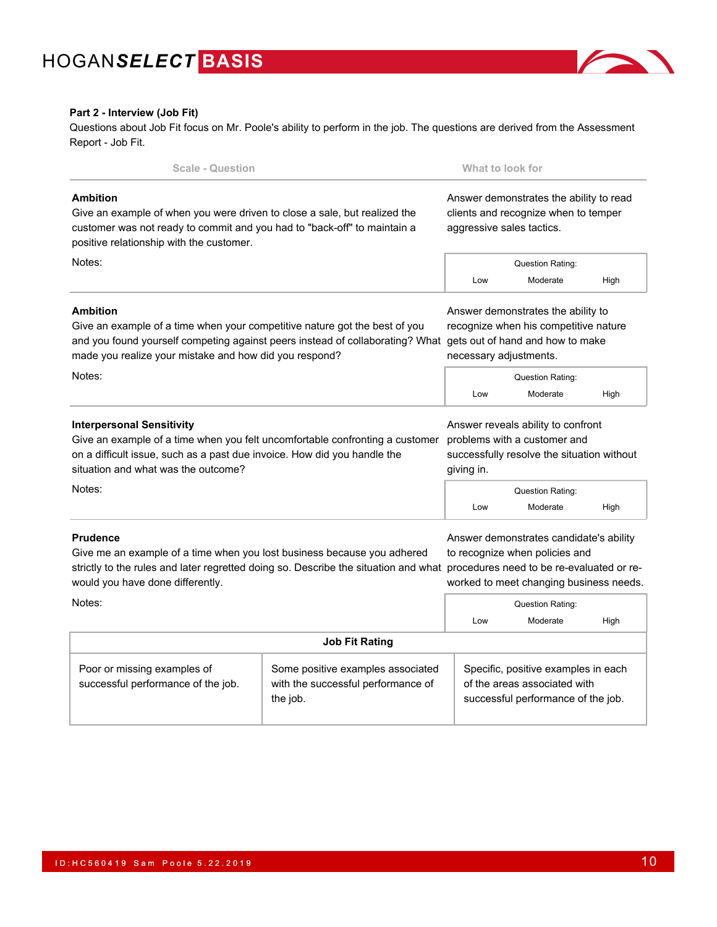

#### **Part 2 - Interview (Job Fit)**

Questions about Job Fit focus on Mr. Poole's ability to perform in the job. The questions are derived from the Assessment Report - Job Fit.

| <b>Scale - Question</b>                                                                                                                                                                                                                  |                                                                                     |                                                                                                                                           | What to look for                                                                                                                                                  |      |  |
|------------------------------------------------------------------------------------------------------------------------------------------------------------------------------------------------------------------------------------------|-------------------------------------------------------------------------------------|-------------------------------------------------------------------------------------------------------------------------------------------|-------------------------------------------------------------------------------------------------------------------------------------------------------------------|------|--|
| <b>Ambition</b><br>Give an example of when you were driven to close a sale, but realized the<br>customer was not ready to commit and you had to "back-off" to maintain a<br>positive relationship with the customer.                     |                                                                                     | Answer demonstrates the ability to read<br>clients and recognize when to temper<br>aggressive sales tactics.                              |                                                                                                                                                                   |      |  |
| Notes:                                                                                                                                                                                                                                   |                                                                                     |                                                                                                                                           | Question Rating:                                                                                                                                                  |      |  |
|                                                                                                                                                                                                                                          |                                                                                     | Low                                                                                                                                       | Moderate                                                                                                                                                          | High |  |
| <b>Ambition</b><br>Give an example of a time when your competitive nature got the best of you<br>and you found yourself competing against peers instead of collaborating? What<br>made you realize your mistake and how did you respond? |                                                                                     | Answer demonstrates the ability to<br>recognize when his competitive nature<br>gets out of hand and how to make<br>necessary adjustments. |                                                                                                                                                                   |      |  |
| Notes:                                                                                                                                                                                                                                   |                                                                                     |                                                                                                                                           | <b>Question Rating:</b>                                                                                                                                           |      |  |
|                                                                                                                                                                                                                                          |                                                                                     | Low                                                                                                                                       | Moderate                                                                                                                                                          | High |  |
| <b>Interpersonal Sensitivity</b><br>Give an example of a time when you felt uncomfortable confronting a customer<br>on a difficult issue, such as a past due invoice. How did you handle the<br>situation and what was the outcome?      |                                                                                     | Answer reveals ability to confront<br>problems with a customer and<br>successfully resolve the situation without<br>giving in.            |                                                                                                                                                                   |      |  |
| Notes:                                                                                                                                                                                                                                   |                                                                                     | Low                                                                                                                                       | Question Rating:<br>Moderate                                                                                                                                      | High |  |
| <b>Prudence</b><br>Give me an example of a time when you lost business because you adhered<br>strictly to the rules and later regretted doing so. Describe the situation and what<br>would you have done differently.                    |                                                                                     |                                                                                                                                           | Answer demonstrates candidate's ability<br>to recognize when policies and<br>procedures need to be re-evaluated or re-<br>worked to meet changing business needs. |      |  |
| Notes:                                                                                                                                                                                                                                   |                                                                                     | Low                                                                                                                                       | Question Rating:<br>Moderate                                                                                                                                      | High |  |
|                                                                                                                                                                                                                                          | <b>Job Fit Rating</b>                                                               |                                                                                                                                           |                                                                                                                                                                   |      |  |
| Poor or missing examples of<br>successful performance of the job.                                                                                                                                                                        | Some positive examples associated<br>with the successful performance of<br>the job. | Specific, positive examples in each<br>of the areas associated with<br>successful performance of the job.                                 |                                                                                                                                                                   |      |  |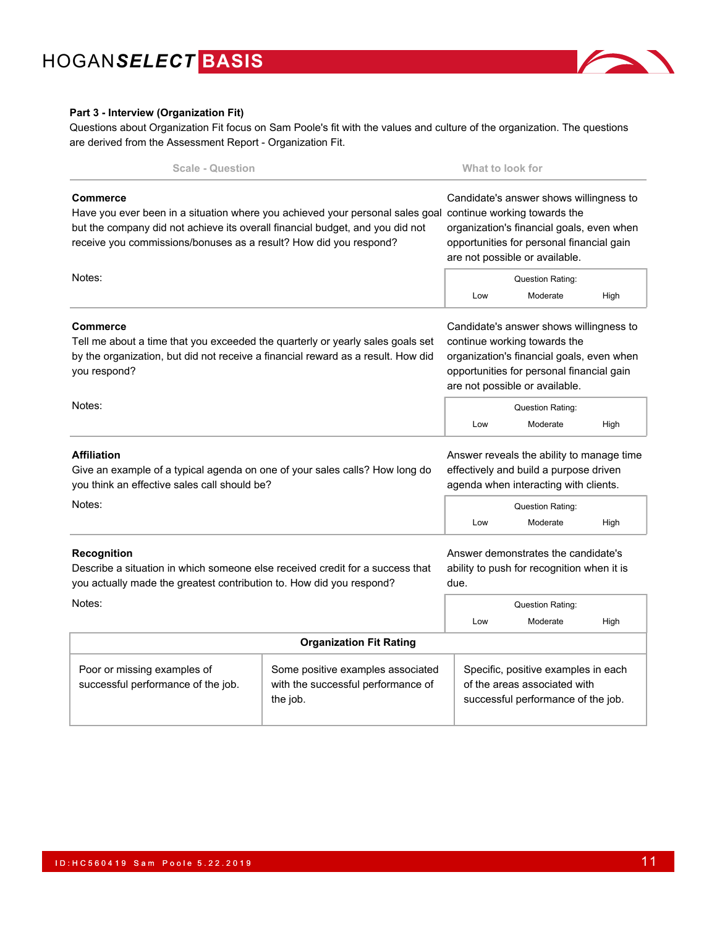

#### **Part 3 - Interview (Organization Fit)**

Questions about Organization Fit focus on Sam Poole's fit with the values and culture of the organization. The questions are derived from the Assessment Report - Organization Fit.

| <b>Scale - Question</b>                                                                                                                                                                                                                                                             |                                                                                     |                                                                                                                                                                                                     | What to look for |                                     |                                                                           |  |
|-------------------------------------------------------------------------------------------------------------------------------------------------------------------------------------------------------------------------------------------------------------------------------------|-------------------------------------------------------------------------------------|-----------------------------------------------------------------------------------------------------------------------------------------------------------------------------------------------------|------------------|-------------------------------------|---------------------------------------------------------------------------|--|
| <b>Commerce</b><br>Have you ever been in a situation where you achieved your personal sales goal continue working towards the<br>but the company did not achieve its overall financial budget, and you did not<br>receive you commissions/bonuses as a result? How did you respond? |                                                                                     | Candidate's answer shows willingness to<br>organization's financial goals, even when<br>opportunities for personal financial gain<br>are not possible or available.                                 |                  |                                     |                                                                           |  |
| Notes:                                                                                                                                                                                                                                                                              |                                                                                     |                                                                                                                                                                                                     |                  | Question Rating:<br>Moderate        | High                                                                      |  |
| <b>Commerce</b><br>Tell me about a time that you exceeded the quarterly or yearly sales goals set<br>by the organization, but did not receive a financial reward as a result. How did<br>you respond?                                                                               |                                                                                     | Candidate's answer shows willingness to<br>continue working towards the<br>organization's financial goals, even when<br>opportunities for personal financial gain<br>are not possible or available. |                  |                                     |                                                                           |  |
| Notes:                                                                                                                                                                                                                                                                              |                                                                                     | Low                                                                                                                                                                                                 |                  | <b>Question Rating:</b><br>Moderate | High                                                                      |  |
| <b>Affiliation</b><br>Give an example of a typical agenda on one of your sales calls? How long do<br>you think an effective sales call should be?                                                                                                                                   |                                                                                     | Answer reveals the ability to manage time<br>effectively and build a purpose driven<br>agenda when interacting with clients.                                                                        |                  |                                     |                                                                           |  |
| Notes:                                                                                                                                                                                                                                                                              |                                                                                     | Low                                                                                                                                                                                                 |                  | Question Rating:<br>Moderate        | High                                                                      |  |
| <b>Recognition</b><br>Describe a situation in which someone else received credit for a success that<br>you actually made the greatest contribution to. How did you respond?                                                                                                         |                                                                                     | Answer demonstrates the candidate's<br>due.                                                                                                                                                         |                  |                                     | ability to push for recognition when it is                                |  |
| Notes:                                                                                                                                                                                                                                                                              |                                                                                     | Low                                                                                                                                                                                                 |                  | Question Rating:<br>Moderate        | High                                                                      |  |
|                                                                                                                                                                                                                                                                                     | <b>Organization Fit Rating</b>                                                      |                                                                                                                                                                                                     |                  |                                     |                                                                           |  |
| Poor or missing examples of<br>successful performance of the job.                                                                                                                                                                                                                   | Some positive examples associated<br>with the successful performance of<br>the job. |                                                                                                                                                                                                     |                  | of the areas associated with        | Specific, positive examples in each<br>successful performance of the job. |  |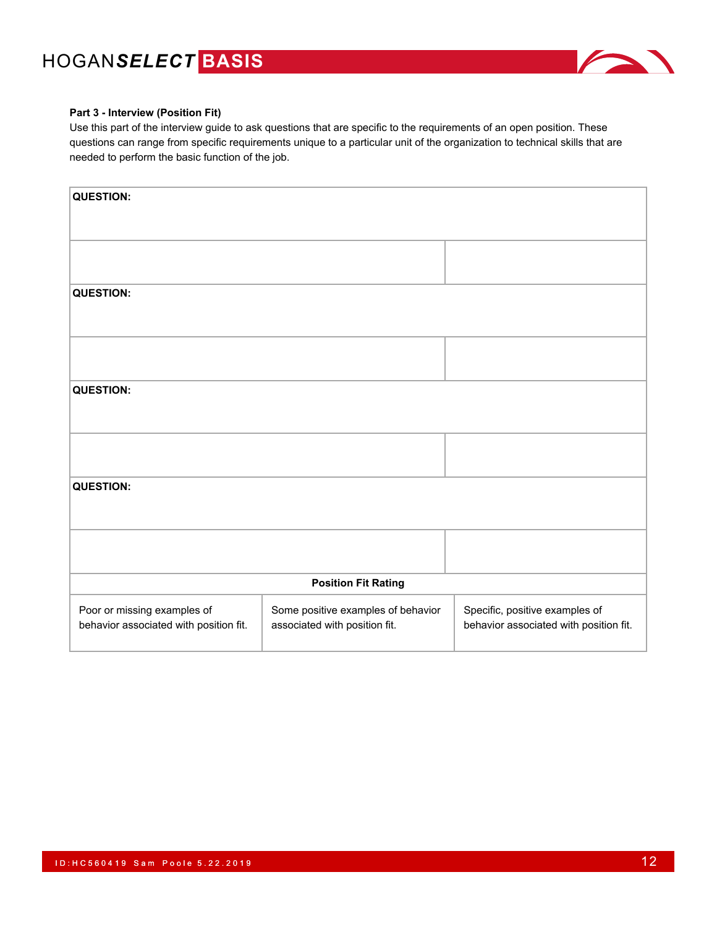

#### **Part 3 - Interview (Position Fit)**

Use this part of the interview guide to ask questions that are specific to the requirements of an open position. These questions can range from specific requirements unique to a particular unit of the organization to technical skills that are needed to perform the basic function of the job.

| <b>QUESTION:</b>                                                      |                                                                     |                                                                          |
|-----------------------------------------------------------------------|---------------------------------------------------------------------|--------------------------------------------------------------------------|
|                                                                       |                                                                     |                                                                          |
| <b>QUESTION:</b>                                                      |                                                                     |                                                                          |
|                                                                       |                                                                     |                                                                          |
| <b>QUESTION:</b>                                                      |                                                                     |                                                                          |
|                                                                       |                                                                     |                                                                          |
|                                                                       |                                                                     |                                                                          |
| <b>QUESTION:</b>                                                      |                                                                     |                                                                          |
|                                                                       |                                                                     |                                                                          |
|                                                                       | <b>Position Fit Rating</b>                                          |                                                                          |
| Poor or missing examples of<br>behavior associated with position fit. | Some positive examples of behavior<br>associated with position fit. | Specific, positive examples of<br>behavior associated with position fit. |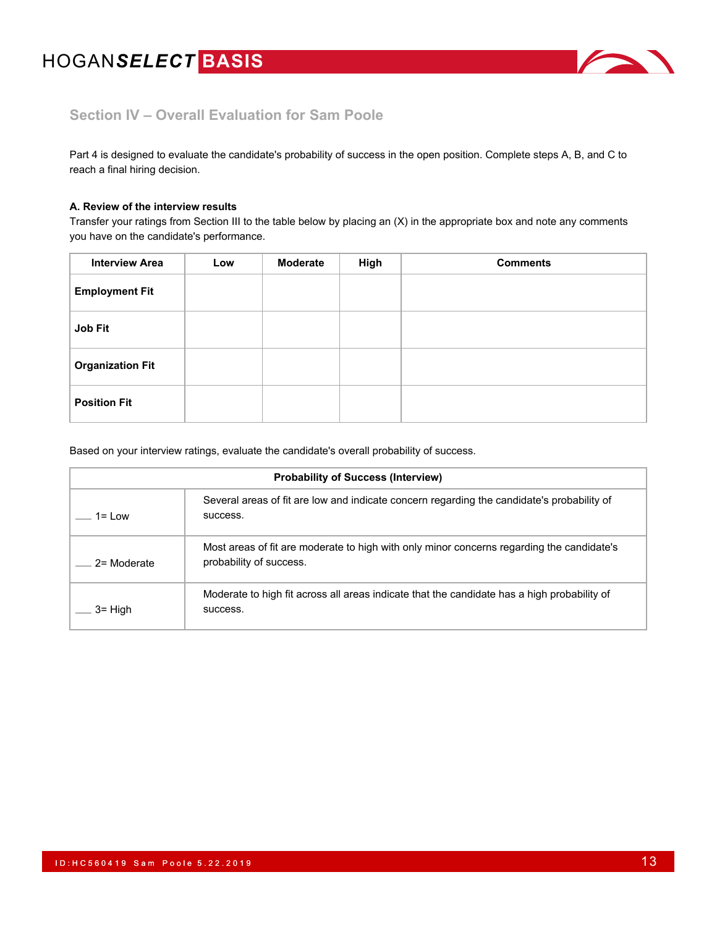

## **Section IV – Overall Evaluation for Sam Poole**

Part 4 is designed to evaluate the candidate's probability of success in the open position. Complete steps A, B, and C to reach a final hiring decision.

#### **A. Review of the interview results**

Transfer your ratings from Section III to the table below by placing an (X) in the appropriate box and note any comments you have on the candidate's performance.

| <b>Interview Area</b>   | Low | <b>Moderate</b> | High | <b>Comments</b> |
|-------------------------|-----|-----------------|------|-----------------|
| <b>Employment Fit</b>   |     |                 |      |                 |
| Job Fit                 |     |                 |      |                 |
| <b>Organization Fit</b> |     |                 |      |                 |
| <b>Position Fit</b>     |     |                 |      |                 |

Based on your interview ratings, evaluate the candidate's overall probability of success.

| <b>Probability of Success (Interview)</b> |                                                                                                                      |  |  |  |  |
|-------------------------------------------|----------------------------------------------------------------------------------------------------------------------|--|--|--|--|
| 1= I ow                                   | Several areas of fit are low and indicate concern regarding the candidate's probability of<br>success.               |  |  |  |  |
| 2= Moderate                               | Most areas of fit are moderate to high with only minor concerns regarding the candidate's<br>probability of success. |  |  |  |  |
| $3 =$ High                                | Moderate to high fit across all areas indicate that the candidate has a high probability of<br>success.              |  |  |  |  |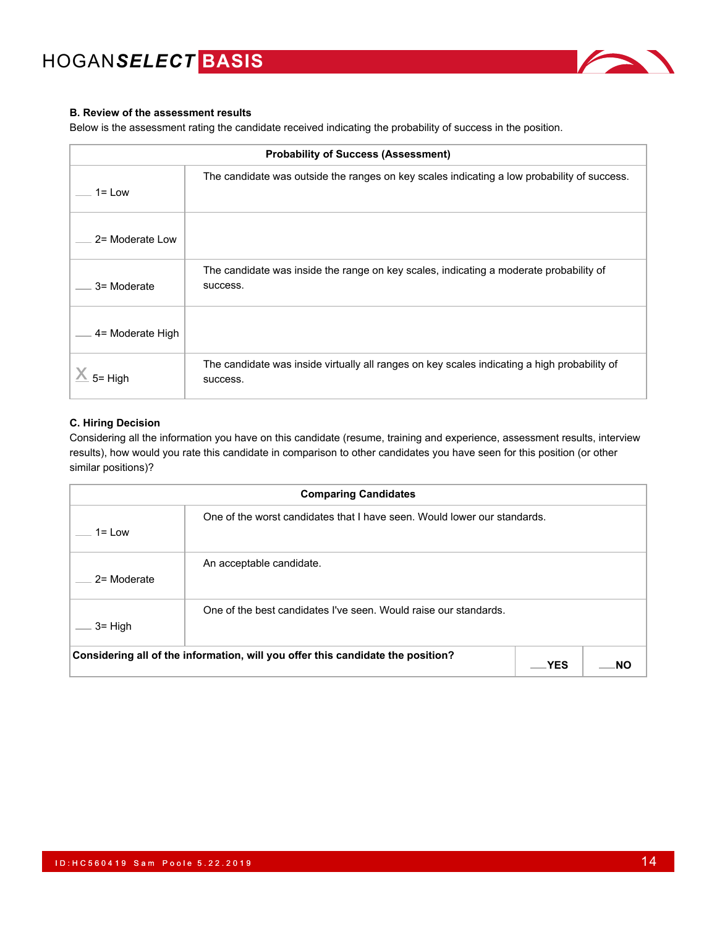

### **B. Review of the assessment results**

Below is the assessment rating the candidate received indicating the probability of success in the position.

| <b>Probability of Success (Assessment)</b>                                                               |                                                                                                          |  |  |  |  |
|----------------------------------------------------------------------------------------------------------|----------------------------------------------------------------------------------------------------------|--|--|--|--|
| The candidate was outside the ranges on key scales indicating a low probability of success.<br>$1 = Low$ |                                                                                                          |  |  |  |  |
| 2= Moderate Low                                                                                          |                                                                                                          |  |  |  |  |
| 3= Moderate                                                                                              | The candidate was inside the range on key scales, indicating a moderate probability of<br>success.       |  |  |  |  |
| 4= Moderate High                                                                                         |                                                                                                          |  |  |  |  |
| 5= Hiah                                                                                                  | The candidate was inside virtually all ranges on key scales indicating a high probability of<br>success. |  |  |  |  |

#### **C. Hiring Decision**

Considering all the information you have on this candidate (resume, training and experience, assessment results, interview results), how would you rate this candidate in comparison to other candidates you have seen for this position (or other similar positions)?

| <b>Comparing Candidates</b> |                                                                                 |     |  |  |
|-----------------------------|---------------------------------------------------------------------------------|-----|--|--|
| $1 = Low$                   | One of the worst candidates that I have seen. Would lower our standards.        |     |  |  |
| 2= Moderate                 | An acceptable candidate.                                                        |     |  |  |
| $3 =$ High                  | One of the best candidates I've seen. Would raise our standards.                |     |  |  |
|                             | Considering all of the information, will you offer this candidate the position? | YES |  |  |